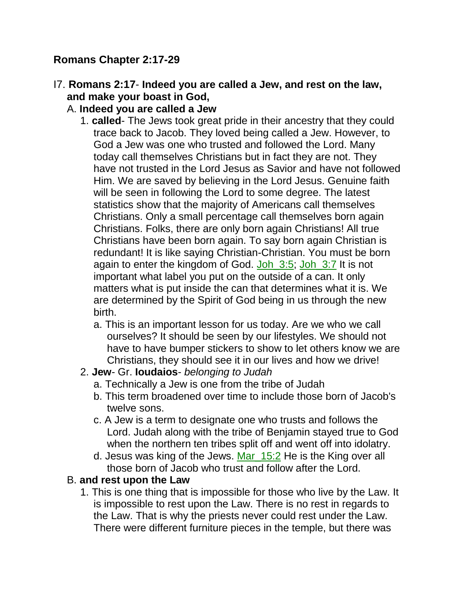## **Romans Chapter 2:17-29**

## I7. **Romans 2:17**- **Indeed you are called a Jew, and rest on the law, and make your boast in God,**

## A. **Indeed you are called a Jew**

- 1. **called** The Jews took great pride in their ancestry that they could trace back to Jacob. They loved being called a Jew. However, to God a Jew was one who trusted and followed the Lord. Many today call themselves Christians but in fact they are not. They have not trusted in the Lord Jesus as Savior and have not followed Him. We are saved by believing in the Lord Jesus. Genuine faith will be seen in following the Lord to some degree. The latest statistics show that the majority of Americans call themselves Christians. Only a small percentage call themselves born again Christians. Folks, there are only born again Christians! All true Christians have been born again. To say born again Christian is redundant! It is like saying Christian-Christian. You must be born again to enter the kingdom of God. Joh 3:5; Joh 3:7 It is not important what label you put on the outside of a can. It only matters what is put inside the can that determines what it is. We are determined by the Spirit of God being in us through the new birth.
	- a. This is an important lesson for us today. Are we who we call ourselves? It should be seen by our lifestyles. We should not have to have bumper stickers to show to let others know we are Christians, they should see it in our lives and how we drive!

## 2. **Jew**- Gr. **Ioudaios**- *belonging to Judah*

- a. Technically a Jew is one from the tribe of Judah
- b. This term broadened over time to include those born of Jacob's twelve sons.
- c. A Jew is a term to designate one who trusts and follows the Lord. Judah along with the tribe of Benjamin stayed true to God when the northern ten tribes split off and went off into idolatry.
- d. Jesus was king of the Jews. Mar\_15:2 He is the King over all those born of Jacob who trust and follow after the Lord.

## B. **and rest upon the Law**

1. This is one thing that is impossible for those who live by the Law. It is impossible to rest upon the Law. There is no rest in regards to the Law. That is why the priests never could rest under the Law. There were different furniture pieces in the temple, but there was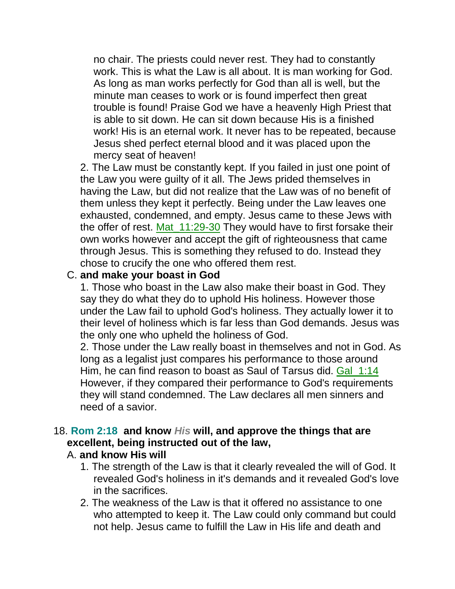no chair. The priests could never rest. They had to constantly work. This is what the Law is all about. It is man working for God. As long as man works perfectly for God than all is well, but the minute man ceases to work or is found imperfect then great trouble is found! Praise God we have a heavenly High Priest that is able to sit down. He can sit down because His is a finished work! His is an eternal work. It never has to be repeated, because Jesus shed perfect eternal blood and it was placed upon the mercy seat of heaven!

2. The Law must be constantly kept. If you failed in just one point of the Law you were guilty of it all. The Jews prided themselves in having the Law, but did not realize that the Law was of no benefit of them unless they kept it perfectly. Being under the Law leaves one exhausted, condemned, and empty. Jesus came to these Jews with the offer of rest. Mat  $11:29-30$  They would have to first forsake their own works however and accept the gift of righteousness that came through Jesus. This is something they refused to do. Instead they chose to crucify the one who offered them rest.

#### C. **and make your boast in God**

1. Those who boast in the Law also make their boast in God. They say they do what they do to uphold His holiness. However those under the Law fail to uphold God's holiness. They actually lower it to their level of holiness which is far less than God demands. Jesus was the only one who upheld the holiness of God.

2. Those under the Law really boast in themselves and not in God. As long as a legalist just compares his performance to those around Him, he can find reason to boast as Saul of Tarsus did. Gal\_1:14 However, if they compared their performance to God's requirements they will stand condemned. The Law declares all men sinners and need of a savior.

## 18. **Rom 2:18 and know** *His* **will, and approve the things that are excellent, being instructed out of the law,**

#### A. **and know His will**

- 1. The strength of the Law is that it clearly revealed the will of God. It revealed God's holiness in it's demands and it revealed God's love in the sacrifices.
- 2. The weakness of the Law is that it offered no assistance to one who attempted to keep it. The Law could only command but could not help. Jesus came to fulfill the Law in His life and death and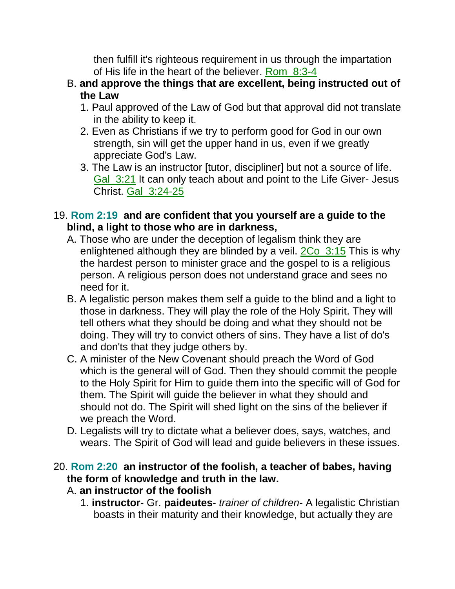then fulfill it's righteous requirement in us through the impartation of His life in the heart of the believer. Rom\_8:3-4

- B. **and approve the things that are excellent, being instructed out of the Law**
	- 1. Paul approved of the Law of God but that approval did not translate in the ability to keep it.
	- 2. Even as Christians if we try to perform good for God in our own strength, sin will get the upper hand in us, even if we greatly appreciate God's Law.
	- 3. The Law is an instructor [tutor, discipliner] but not a source of life. Gal\_3:21 It can only teach about and point to the Life Giver- Jesus Christ. Gal\_3:24-25

## 19. **Rom 2:19 and are confident that you yourself are a guide to the blind, a light to those who are in darkness,**

- A. Those who are under the deception of legalism think they are enlightened although they are blinded by a veil.  $2Co$   $3:15$  This is why the hardest person to minister grace and the gospel to is a religious person. A religious person does not understand grace and sees no need for it.
- B. A legalistic person makes them self a guide to the blind and a light to those in darkness. They will play the role of the Holy Spirit. They will tell others what they should be doing and what they should not be doing. They will try to convict others of sins. They have a list of do's and don'ts that they judge others by.
- C. A minister of the New Covenant should preach the Word of God which is the general will of God. Then they should commit the people to the Holy Spirit for Him to guide them into the specific will of God for them. The Spirit will guide the believer in what they should and should not do. The Spirit will shed light on the sins of the believer if we preach the Word.
- D. Legalists will try to dictate what a believer does, says, watches, and wears. The Spirit of God will lead and guide believers in these issues.

## 20. **Rom 2:20 an instructor of the foolish, a teacher of babes, having the form of knowledge and truth in the law.**

- A. **an instructor of the foolish**
	- 1. **instructor** Gr. **paideutes** *trainer of children* A legalistic Christian boasts in their maturity and their knowledge, but actually they are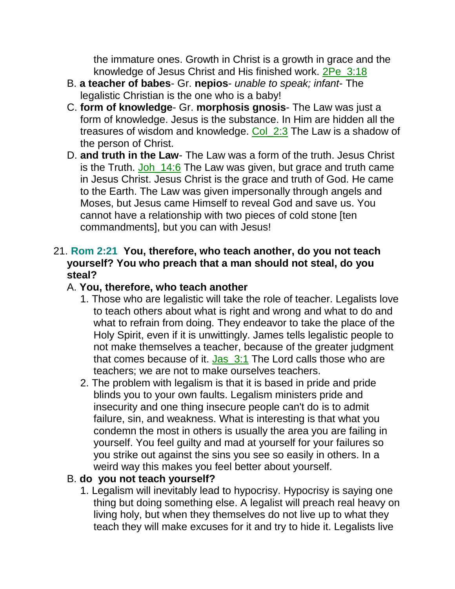the immature ones. Growth in Christ is a growth in grace and the knowledge of Jesus Christ and His finished work. 2Pe\_3:18

- B. **a teacher of babes** Gr. **nepios** *unable to speak; infant* The legalistic Christian is the one who is a baby!
- C. **form of knowledge** Gr. **morphosis gnosis** The Law was just a form of knowledge. Jesus is the substance. In Him are hidden all the treasures of wisdom and knowledge. Col 2:3 The Law is a shadow of the person of Christ.
- D. **and truth in the Law** The Law was a form of the truth. Jesus Christ is the Truth. Joh\_14:6 The Law was given, but grace and truth came in Jesus Christ. Jesus Christ is the grace and truth of God. He came to the Earth. The Law was given impersonally through angels and Moses, but Jesus came Himself to reveal God and save us. You cannot have a relationship with two pieces of cold stone [ten commandments], but you can with Jesus!

#### 21. **Rom 2:21 You, therefore, who teach another, do you not teach yourself? You who preach that a man should not steal, do you steal?**

## A. **You, therefore, who teach another**

- 1. Those who are legalistic will take the role of teacher. Legalists love to teach others about what is right and wrong and what to do and what to refrain from doing. They endeavor to take the place of the Holy Spirit, even if it is unwittingly. James tells legalistic people to not make themselves a teacher, because of the greater judgment that comes because of it. Jas\_3:1 The Lord calls those who are teachers; we are not to make ourselves teachers.
- 2. The problem with legalism is that it is based in pride and pride blinds you to your own faults. Legalism ministers pride and insecurity and one thing insecure people can't do is to admit failure, sin, and weakness. What is interesting is that what you condemn the most in others is usually the area you are failing in yourself. You feel guilty and mad at yourself for your failures so you strike out against the sins you see so easily in others. In a weird way this makes you feel better about yourself.

## B. **do you not teach yourself?**

1. Legalism will inevitably lead to hypocrisy. Hypocrisy is saying one thing but doing something else. A legalist will preach real heavy on living holy, but when they themselves do not live up to what they teach they will make excuses for it and try to hide it. Legalists live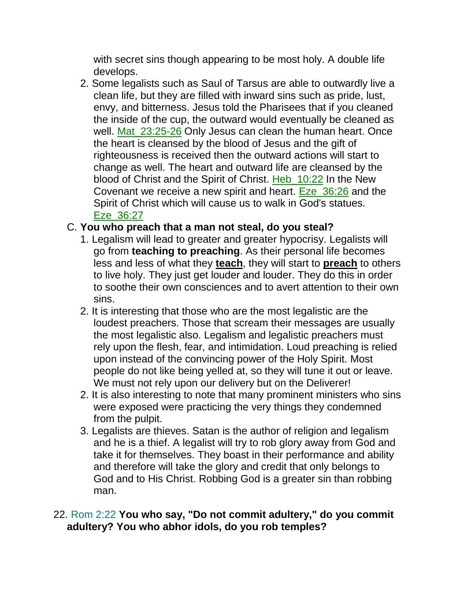with secret sins though appearing to be most holy. A double life develops.

2. Some legalists such as Saul of Tarsus are able to outwardly live a clean life, but they are filled with inward sins such as pride, lust, envy, and bitterness. Jesus told the Pharisees that if you cleaned the inside of the cup, the outward would eventually be cleaned as well. Mat 23:25-26 Only Jesus can clean the human heart. Once the heart is cleansed by the blood of Jesus and the gift of righteousness is received then the outward actions will start to change as well. The heart and outward life are cleansed by the blood of Christ and the Spirit of Christ. Heb\_10:22 In the New Covenant we receive a new spirit and heart. Eze\_36:26 and the Spirit of Christ which will cause us to walk in God's statues. Eze\_36:27

#### C. **You who preach that a man not steal, do you steal?**

- 1. Legalism will lead to greater and greater hypocrisy. Legalists will go from **teaching to preaching**. As their personal life becomes less and less of what they **teach**, they will start to **preach** to others to live holy. They just get louder and louder. They do this in order to soothe their own consciences and to avert attention to their own sins.
- 2. It is interesting that those who are the most legalistic are the loudest preachers. Those that scream their messages are usually the most legalistic also. Legalism and legalistic preachers must rely upon the flesh, fear, and intimidation. Loud preaching is relied upon instead of the convincing power of the Holy Spirit. Most people do not like being yelled at, so they will tune it out or leave. We must not rely upon our delivery but on the Deliverer!
- 2. It is also interesting to note that many prominent ministers who sins were exposed were practicing the very things they condemned from the pulpit.
- 3. Legalists are thieves. Satan is the author of religion and legalism and he is a thief. A legalist will try to rob glory away from God and take it for themselves. They boast in their performance and ability and therefore will take the glory and credit that only belongs to God and to His Christ. Robbing God is a greater sin than robbing man.

### 22. Rom 2:22 **You who say, "Do not commit adultery," do you commit adultery? You who abhor idols, do you rob temples?**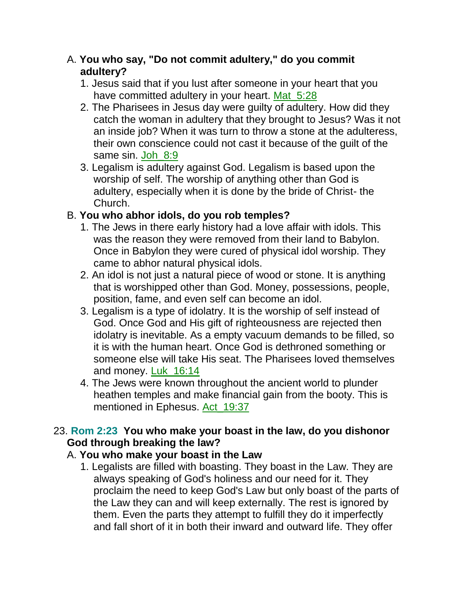### A. **You who say, "Do not commit adultery," do you commit adultery?**

- 1. Jesus said that if you lust after someone in your heart that you have committed adultery in your heart. Mat\_5:28
- 2. The Pharisees in Jesus day were guilty of adultery. How did they catch the woman in adultery that they brought to Jesus? Was it not an inside job? When it was turn to throw a stone at the adulteress, their own conscience could not cast it because of the guilt of the same sin. Joh 8:9
- 3. Legalism is adultery against God. Legalism is based upon the worship of self. The worship of anything other than God is adultery, especially when it is done by the bride of Christ- the Church.

## B. **You who abhor idols, do you rob temples?**

- 1. The Jews in there early history had a love affair with idols. This was the reason they were removed from their land to Babylon. Once in Babylon they were cured of physical idol worship. They came to abhor natural physical idols.
- 2. An idol is not just a natural piece of wood or stone. It is anything that is worshipped other than God. Money, possessions, people, position, fame, and even self can become an idol.
- 3. Legalism is a type of idolatry. It is the worship of self instead of God. Once God and His gift of righteousness are rejected then idolatry is inevitable. As a empty vacuum demands to be filled, so it is with the human heart. Once God is dethroned something or someone else will take His seat. The Pharisees loved themselves and money. Luk\_16:14
- 4. The Jews were known throughout the ancient world to plunder heathen temples and make financial gain from the booty. This is mentioned in Ephesus. Act 19:37

## 23. **Rom 2:23 You who make your boast in the law, do you dishonor God through breaking the law?**

## A. **You who make your boast in the Law**

1. Legalists are filled with boasting. They boast in the Law. They are always speaking of God's holiness and our need for it. They proclaim the need to keep God's Law but only boast of the parts of the Law they can and will keep externally. The rest is ignored by them. Even the parts they attempt to fulfill they do it imperfectly and fall short of it in both their inward and outward life. They offer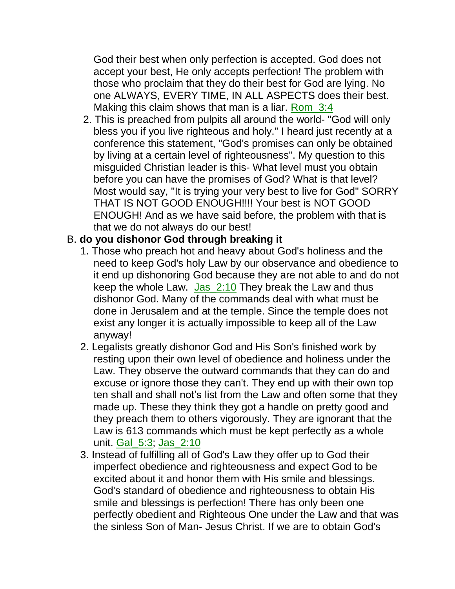God their best when only perfection is accepted. God does not accept your best, He only accepts perfection! The problem with those who proclaim that they do their best for God are lying. No one ALWAYS, EVERY TIME, IN ALL ASPECTS does their best. Making this claim shows that man is a liar. Rom 3:4

2. This is preached from pulpits all around the world- "God will only bless you if you live righteous and holy." I heard just recently at a conference this statement, "God's promises can only be obtained by living at a certain level of righteousness". My question to this misguided Christian leader is this- What level must you obtain before you can have the promises of God? What is that level? Most would say, "It is trying your very best to live for God" SORRY THAT IS NOT GOOD ENOUGH!!!! Your best is NOT GOOD ENOUGH! And as we have said before, the problem with that is that we do not always do our best!

### B. **do you dishonor God through breaking it**

- 1. Those who preach hot and heavy about God's holiness and the need to keep God's holy Law by our observance and obedience to it end up dishonoring God because they are not able to and do not keep the whole Law. Jas  $2:10$  They break the Law and thus dishonor God. Many of the commands deal with what must be done in Jerusalem and at the temple. Since the temple does not exist any longer it is actually impossible to keep all of the Law anyway!
- 2. Legalists greatly dishonor God and His Son's finished work by resting upon their own level of obedience and holiness under the Law. They observe the outward commands that they can do and excuse or ignore those they can't. They end up with their own top ten shall and shall not's list from the Law and often some that they made up. These they think they got a handle on pretty good and they preach them to others vigorously. They are ignorant that the Law is 613 commands which must be kept perfectly as a whole unit. Gal\_5:3; Jas\_2:10
- 3. Instead of fulfilling all of God's Law they offer up to God their imperfect obedience and righteousness and expect God to be excited about it and honor them with His smile and blessings. God's standard of obedience and righteousness to obtain His smile and blessings is perfection! There has only been one perfectly obedient and Righteous One under the Law and that was the sinless Son of Man- Jesus Christ. If we are to obtain God's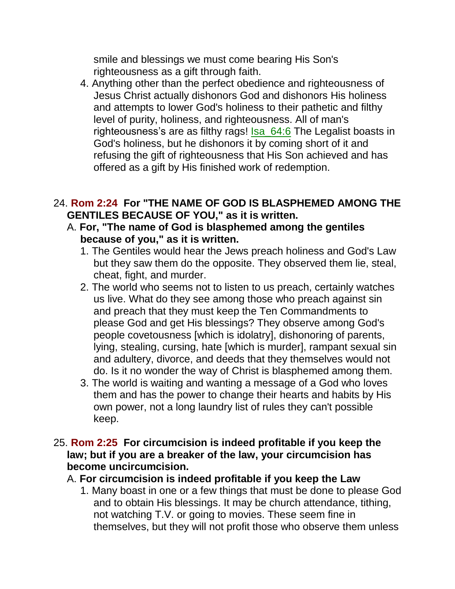smile and blessings we must come bearing His Son's righteousness as a gift through faith.

4. Anything other than the perfect obedience and righteousness of Jesus Christ actually dishonors God and dishonors His holiness and attempts to lower God's holiness to their pathetic and filthy level of purity, holiness, and righteousness. All of man's righteousness's are as filthy rags! Isa 64:6 The Legalist boasts in God's holiness, but he dishonors it by coming short of it and refusing the gift of righteousness that His Son achieved and has offered as a gift by His finished work of redemption.

#### 24. **Rom 2:24 For "THE NAME OF GOD IS BLASPHEMED AMONG THE GENTILES BECAUSE OF YOU," as it is written.**

- A. **For, "The name of God is blasphemed among the gentiles because of you," as it is written.**
	- 1. The Gentiles would hear the Jews preach holiness and God's Law but they saw them do the opposite. They observed them lie, steal, cheat, fight, and murder.
	- 2. The world who seems not to listen to us preach, certainly watches us live. What do they see among those who preach against sin and preach that they must keep the Ten Commandments to please God and get His blessings? They observe among God's people covetousness [which is idolatry], dishonoring of parents, lying, stealing, cursing, hate [which is murder], rampant sexual sin and adultery, divorce, and deeds that they themselves would not do. Is it no wonder the way of Christ is blasphemed among them.
	- 3. The world is waiting and wanting a message of a God who loves them and has the power to change their hearts and habits by His own power, not a long laundry list of rules they can't possible keep.
- 25. **Rom 2:25 For circumcision is indeed profitable if you keep the law; but if you are a breaker of the law, your circumcision has become uncircumcision.** 
	- A. **For circumcision is indeed profitable if you keep the Law**
		- 1. Many boast in one or a few things that must be done to please God and to obtain His blessings. It may be church attendance, tithing, not watching T.V. or going to movies. These seem fine in themselves, but they will not profit those who observe them unless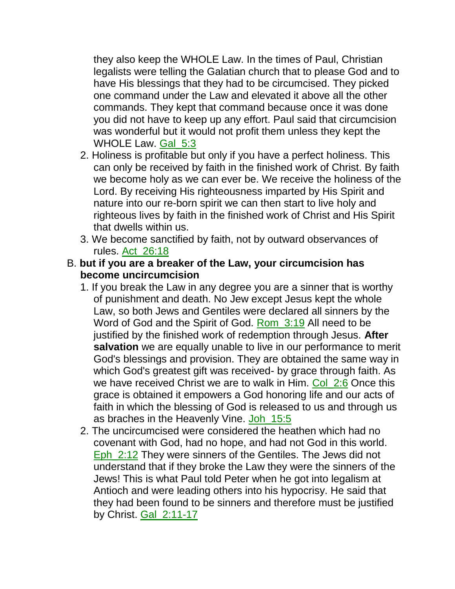they also keep the WHOLE Law. In the times of Paul, Christian legalists were telling the Galatian church that to please God and to have His blessings that they had to be circumcised. They picked one command under the Law and elevated it above all the other commands. They kept that command because once it was done you did not have to keep up any effort. Paul said that circumcision was wonderful but it would not profit them unless they kept the WHOLE Law. Gal 5:3

- 2. Holiness is profitable but only if you have a perfect holiness. This can only be received by faith in the finished work of Christ. By faith we become holy as we can ever be. We receive the holiness of the Lord. By receiving His righteousness imparted by His Spirit and nature into our re-born spirit we can then start to live holy and righteous lives by faith in the finished work of Christ and His Spirit that dwells within us.
- 3. We become sanctified by faith, not by outward observances of rules. Act\_26:18
- B. **but if you are a breaker of the Law, your circumcision has become uncircumcision**
	- 1. If you break the Law in any degree you are a sinner that is worthy of punishment and death. No Jew except Jesus kept the whole Law, so both Jews and Gentiles were declared all sinners by the Word of God and the Spirit of God. Rom\_3:19 All need to be justified by the finished work of redemption through Jesus. **After salvation** we are equally unable to live in our performance to merit God's blessings and provision. They are obtained the same way in which God's greatest gift was received- by grace through faith. As we have received Christ we are to walk in Him. Col. 2:6 Once this grace is obtained it empowers a God honoring life and our acts of faith in which the blessing of God is released to us and through us as braches in the Heavenly Vine. Joh 15:5
	- 2. The uncircumcised were considered the heathen which had no covenant with God, had no hope, and had not God in this world. Eph\_2:12 They were sinners of the Gentiles. The Jews did not understand that if they broke the Law they were the sinners of the Jews! This is what Paul told Peter when he got into legalism at Antioch and were leading others into his hypocrisy. He said that they had been found to be sinners and therefore must be justified by Christ. Gal\_2:11-17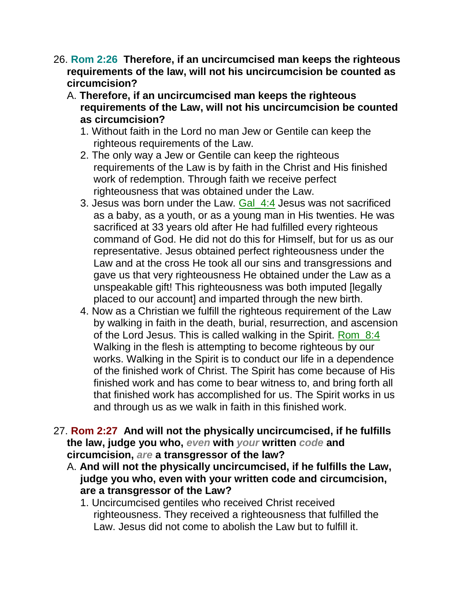- 26. **Rom 2:26 Therefore, if an uncircumcised man keeps the righteous requirements of the law, will not his uncircumcision be counted as circumcision?** 
	- A. **Therefore, if an uncircumcised man keeps the righteous requirements of the Law, will not his uncircumcision be counted as circumcision?**
		- 1. Without faith in the Lord no man Jew or Gentile can keep the righteous requirements of the Law.
		- 2. The only way a Jew or Gentile can keep the righteous requirements of the Law is by faith in the Christ and His finished work of redemption. Through faith we receive perfect righteousness that was obtained under the Law.
		- 3. Jesus was born under the Law. Gal\_4:4 Jesus was not sacrificed as a baby, as a youth, or as a young man in His twenties. He was sacrificed at 33 years old after He had fulfilled every righteous command of God. He did not do this for Himself, but for us as our representative. Jesus obtained perfect righteousness under the Law and at the cross He took all our sins and transgressions and gave us that very righteousness He obtained under the Law as a unspeakable gift! This righteousness was both imputed [legally placed to our account] and imparted through the new birth.
		- 4. Now as a Christian we fulfill the righteous requirement of the Law by walking in faith in the death, burial, resurrection, and ascension of the Lord Jesus. This is called walking in the Spirit. Rom\_8:4 Walking in the flesh is attempting to become righteous by our works. Walking in the Spirit is to conduct our life in a dependence of the finished work of Christ. The Spirit has come because of His finished work and has come to bear witness to, and bring forth all that finished work has accomplished for us. The Spirit works in us and through us as we walk in faith in this finished work.
- 27. **Rom 2:27 And will not the physically uncircumcised, if he fulfills the law, judge you who,** *even* **with** *your* **written** *code* **and circumcision,** *are* **a transgressor of the law?** 
	- A. **And will not the physically uncircumcised, if he fulfills the Law, judge you who, even with your written code and circumcision, are a transgressor of the Law?**
		- 1. Uncircumcised gentiles who received Christ received righteousness. They received a righteousness that fulfilled the Law. Jesus did not come to abolish the Law but to fulfill it.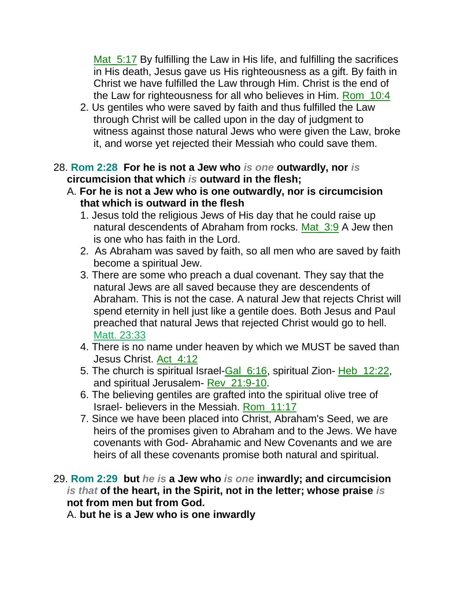Mat 5:17 By fulfilling the Law in His life, and fulfilling the sacrifices in His death, Jesus gave us His righteousness as a gift. By faith in Christ we have fulfilled the Law through Him. Christ is the end of the Law for righteousness for all who believes in Him. Rom\_10:4

2. Us gentiles who were saved by faith and thus fulfilled the Law through Christ will be called upon in the day of judgment to witness against those natural Jews who were given the Law, broke it, and worse yet rejected their Messiah who could save them.

#### 28. **Rom 2:28 For he is not a Jew who** *is one* **outwardly, nor** *is* **circumcision that which** *is* **outward in the flesh;**

- A. **For he is not a Jew who is one outwardly, nor is circumcision that which is outward in the flesh**
	- 1. Jesus told the religious Jews of His day that he could raise up natural descendents of Abraham from rocks. Mat 3:9 A Jew then is one who has faith in the Lord.
	- 2. As Abraham was saved by faith, so all men who are saved by faith become a spiritual Jew.
	- 3. There are some who preach a dual covenant. They say that the natural Jews are all saved because they are descendents of Abraham. This is not the case. A natural Jew that rejects Christ will spend eternity in hell just like a gentile does. Both Jesus and Paul preached that natural Jews that rejected Christ would go to hell. Matt. 23:33
	- 4. There is no name under heaven by which we MUST be saved than Jesus Christ. Act\_4:12
	- 5. The church is spiritual Israel-Gal 6:16, spiritual Zion- Heb 12:22, and spiritual Jerusalem- Rev\_21:9-10.
	- 6. The believing gentiles are grafted into the spiritual olive tree of Israel- believers in the Messiah. Rom\_11:17
	- 7. Since we have been placed into Christ, Abraham's Seed, we are heirs of the promises given to Abraham and to the Jews. We have covenants with God- Abrahamic and New Covenants and we are heirs of all these covenants promise both natural and spiritual.
- 29. **Rom 2:29 but** *he is* **a Jew who** *is one* **inwardly; and circumcision**  *is that* **of the heart, in the Spirit, not in the letter; whose praise** *is* **not from men but from God.**

A. **but he is a Jew who is one inwardly**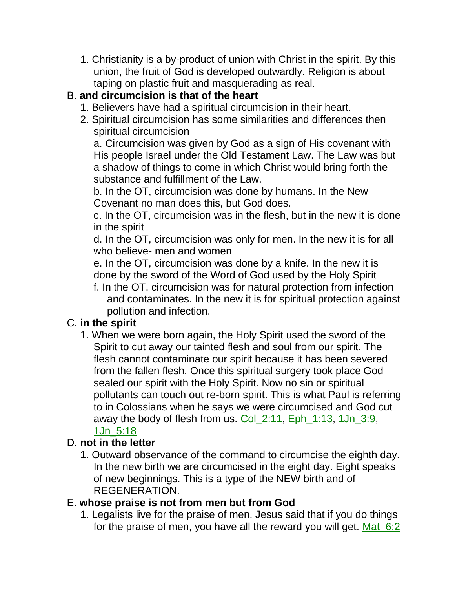1. Christianity is a by-product of union with Christ in the spirit. By this union, the fruit of God is developed outwardly. Religion is about taping on plastic fruit and masquerading as real.

# B. **and circumcision is that of the heart**

- 1. Believers have had a spiritual circumcision in their heart.
- 2. Spiritual circumcision has some similarities and differences then spiritual circumcision

a. Circumcision was given by God as a sign of His covenant with His people Israel under the Old Testament Law. The Law was but a shadow of things to come in which Christ would bring forth the substance and fulfillment of the Law.

b. In the OT, circumcision was done by humans. In the New Covenant no man does this, but God does.

c. In the OT, circumcision was in the flesh, but in the new it is done in the spirit

d. In the OT, circumcision was only for men. In the new it is for all who believe- men and women

e. In the OT, circumcision was done by a knife. In the new it is done by the sword of the Word of God used by the Holy Spirit

f. In the OT, circumcision was for natural protection from infection and contaminates. In the new it is for spiritual protection against pollution and infection.

## C. **in the spirit**

1. When we were born again, the Holy Spirit used the sword of the Spirit to cut away our tainted flesh and soul from our spirit. The flesh cannot contaminate our spirit because it has been severed from the fallen flesh. Once this spiritual surgery took place God sealed our spirit with the Holy Spirit. Now no sin or spiritual pollutants can touch out re-born spirit. This is what Paul is referring to in Colossians when he says we were circumcised and God cut away the body of flesh from us. Col\_2:11, Eph\_1:13, 1Jn\_3:9, 1Jn\_5:18

## D. **not in the letter**

1. Outward observance of the command to circumcise the eighth day. In the new birth we are circumcised in the eight day. Eight speaks of new beginnings. This is a type of the NEW birth and of REGENERATION.

## E. **whose praise is not from men but from God**

1. Legalists live for the praise of men. Jesus said that if you do things for the praise of men, you have all the reward you will get. Mat\_6:2